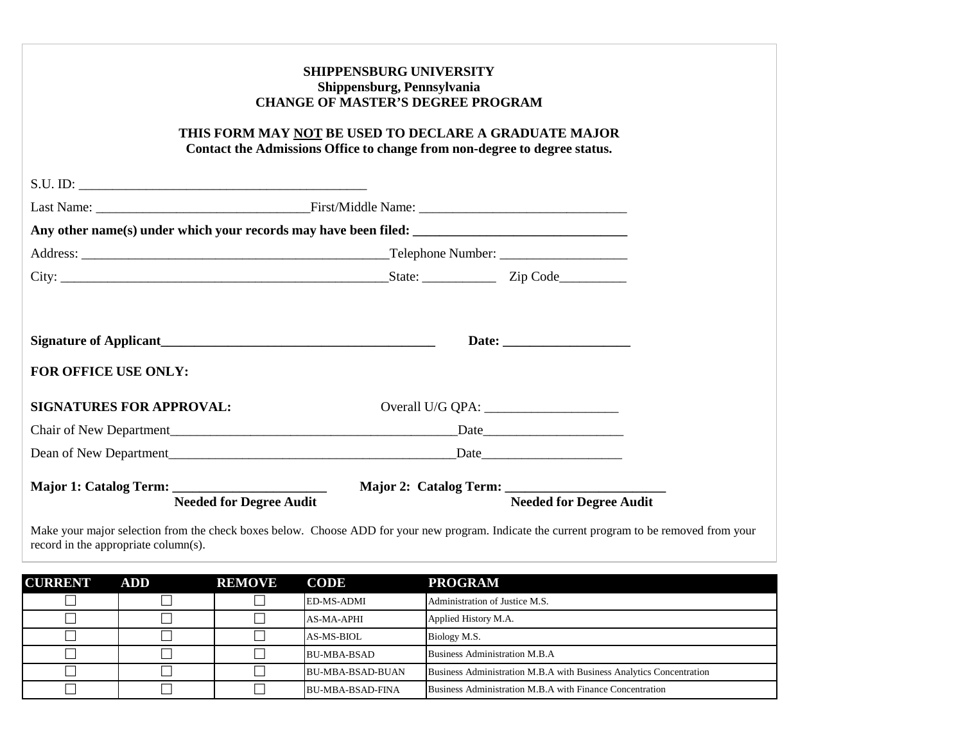|                                      | THIS FORM MAY NOT BE USED TO DECLARE A GRADUATE MAJOR<br>Contact the Admissions Office to change from non-degree to degree status.     | <b>SHIPPENSBURG UNIVERSITY</b><br>Shippensburg, Pennsylvania<br><b>CHANGE OF MASTER'S DEGREE PROGRAM</b> |                                                                                                                                             |  |  |
|--------------------------------------|----------------------------------------------------------------------------------------------------------------------------------------|----------------------------------------------------------------------------------------------------------|---------------------------------------------------------------------------------------------------------------------------------------------|--|--|
|                                      |                                                                                                                                        |                                                                                                          |                                                                                                                                             |  |  |
|                                      |                                                                                                                                        |                                                                                                          |                                                                                                                                             |  |  |
|                                      |                                                                                                                                        |                                                                                                          |                                                                                                                                             |  |  |
|                                      |                                                                                                                                        |                                                                                                          |                                                                                                                                             |  |  |
|                                      |                                                                                                                                        |                                                                                                          |                                                                                                                                             |  |  |
| FOR OFFICE USE ONLY:                 | Signature of Applicant<br><u>Signature of Applicant</u>                                                                                |                                                                                                          |                                                                                                                                             |  |  |
| <b>SIGNATURES FOR APPROVAL:</b>      |                                                                                                                                        |                                                                                                          |                                                                                                                                             |  |  |
|                                      |                                                                                                                                        |                                                                                                          |                                                                                                                                             |  |  |
|                                      |                                                                                                                                        |                                                                                                          |                                                                                                                                             |  |  |
|                                      | Major 1: Catalog Term: __________________________ Major 2: Catalog Term: ___________________________<br><b>Needed for Degree Audit</b> |                                                                                                          | <b>Needed for Degree Audit</b>                                                                                                              |  |  |
| record in the appropriate column(s). |                                                                                                                                        |                                                                                                          | Make your major selection from the check boxes below. Choose ADD for your new program. Indicate the current program to be removed from your |  |  |

| <b>CURRENT</b> | <b>ADD</b> | <b>REMOVE</b> | <b>CODE</b>             | <b>PROGRAM</b>                                                      |
|----------------|------------|---------------|-------------------------|---------------------------------------------------------------------|
|                |            |               | ED-MS-ADMI              | Administration of Justice M.S.                                      |
|                |            |               | AS-MA-APHI              | Applied History M.A.                                                |
|                |            |               | $AS-MS-BIOL$            | Biology M.S.                                                        |
|                |            |               | BU-MBA-BSAD             | Business Administration M.B.A                                       |
|                |            |               | <b>BU-MBA-BSAD-BUAN</b> | Business Administration M.B.A with Business Analytics Concentration |
|                |            |               | <b>BU-MBA-BSAD-FINA</b> | Business Administration M.B.A with Finance Concentration            |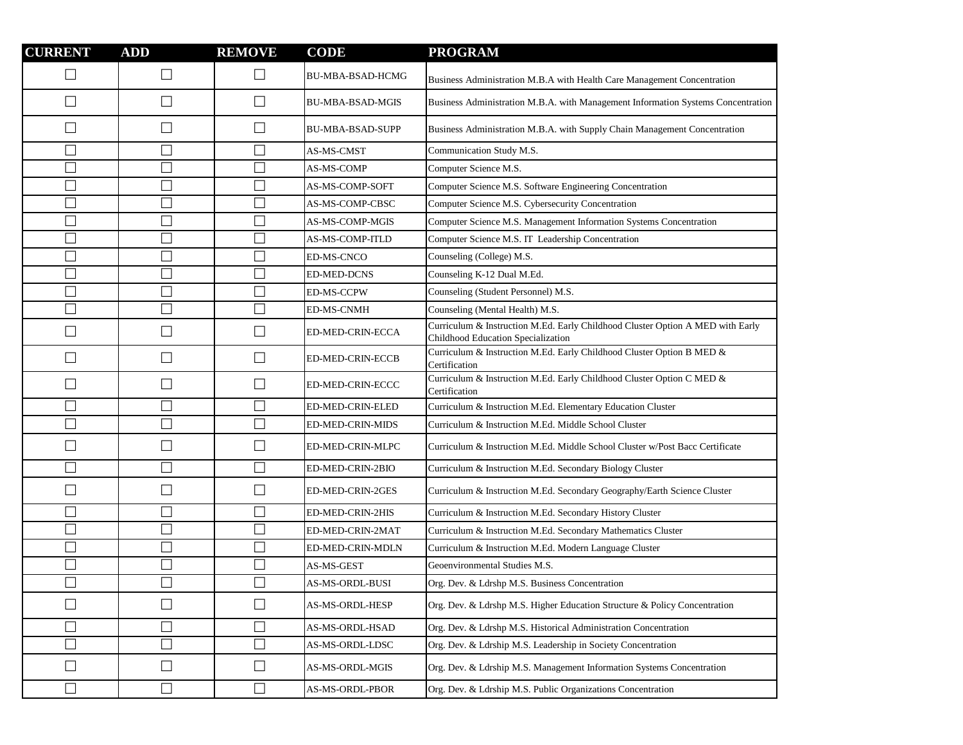| <b>CURRENT</b>              | <b>ADD</b>               | <b>REMOVE</b> | <b>CODE</b>             | <b>PROGRAM</b>                                                                                                       |
|-----------------------------|--------------------------|---------------|-------------------------|----------------------------------------------------------------------------------------------------------------------|
|                             | $\Box$                   |               | <b>BU-MBA-BSAD-HCMG</b> | Business Administration M.B.A with Health Care Management Concentration                                              |
| $\mathcal{L}$               | П                        | $\Box$        | <b>BU-MBA-BSAD-MGIS</b> | Business Administration M.B.A. with Management Information Systems Concentration                                     |
| $\sim$                      | $\Box$                   |               | <b>BU-MBA-BSAD-SUPP</b> | Business Administration M.B.A. with Supply Chain Management Concentration                                            |
| $\mathcal{L}$               | $\Box$                   |               | AS-MS-CMST              | Communication Study M.S.                                                                                             |
| n.                          | $\Box$                   |               | AS-MS-COMP              | Computer Science M.S.                                                                                                |
| $\sim$                      | $\Box$                   |               | AS-MS-COMP-SOFT         | Computer Science M.S. Software Engineering Concentration                                                             |
| $\overline{\phantom{a}}$    | $\overline{\phantom{a}}$ |               | AS-MS-COMP-CBSC         | Computer Science M.S. Cybersecurity Concentration                                                                    |
| $\overline{\phantom{a}}$    | $\Box$                   |               | AS-MS-COMP-MGIS         | Computer Science M.S. Management Information Systems Concentration                                                   |
| $\overline{\phantom{a}}$    | $\Box$                   |               | AS-MS-COMP-ITLD         | Computer Science M.S. IT Leadership Concentration                                                                    |
|                             | $\Box$                   |               | ED-MS-CNCO              | Counseling (College) M.S.                                                                                            |
| $\overline{\phantom{a}}$    | $\overline{\phantom{a}}$ |               | <b>ED-MED-DCNS</b>      | Counseling K-12 Dual M.Ed.                                                                                           |
|                             | $\Box$                   |               | <b>ED-MS-CCPW</b>       | Counseling (Student Personnel) M.S.                                                                                  |
|                             | $\Box$                   |               | <b>ED-MS-CNMH</b>       | Counseling (Mental Health) M.S.                                                                                      |
| 囗                           | $\Box$                   | $\Box$        | ED-MED-CRIN-ECCA        | Curriculum & Instruction M.Ed. Early Childhood Cluster Option A MED with Early<br>Childhood Education Specialization |
| $\sim$                      | $\Box$                   | $\Box$        | ED-MED-CRIN-ECCB        | Curriculum & Instruction M.Ed. Early Childhood Cluster Option B MED &<br>Certification                               |
| $\sim$                      | $\Box$                   | $\Box$        | ED-MED-CRIN-ECCC        | Curriculum & Instruction M.Ed. Early Childhood Cluster Option C MED &<br>Certification                               |
| T.                          | $\Box$                   |               | ED-MED-CRIN-ELED        | Curriculum & Instruction M.Ed. Elementary Education Cluster                                                          |
| $\Box$                      | $\Box$                   |               | ED-MED-CRIN-MIDS        | Curriculum & Instruction M.Ed. Middle School Cluster                                                                 |
| $\sim$                      | $\Box$                   |               | ED-MED-CRIN-MLPC        | Curriculum & Instruction M.Ed. Middle School Cluster w/Post Bacc Certificate                                         |
| $\mathbb{R}^n$              | $\Box$                   |               | ED-MED-CRIN-2BIO        | Curriculum & Instruction M.Ed. Secondary Biology Cluster                                                             |
| $\mathcal{L}_{\mathcal{A}}$ | $\Box$                   |               | ED-MED-CRIN-2GES        | Curriculum & Instruction M.Ed. Secondary Geography/Earth Science Cluster                                             |
| T.                          | $\Box$                   |               | ED-MED-CRIN-2HIS        | Curriculum & Instruction M.Ed. Secondary History Cluster                                                             |
| $\mathcal{L}$               | $\Box$                   |               | ED-MED-CRIN-2MAT        | Curriculum & Instruction M.Ed. Secondary Mathematics Cluster                                                         |
|                             | $\Box$                   |               | ED-MED-CRIN-MDLN        | Curriculum & Instruction M.Ed. Modern Language Cluster                                                               |
|                             | $\Box$                   |               | AS-MS-GEST              | Geoenvironmental Studies M.S.                                                                                        |
|                             | ┌                        |               | <b>AS-MS-ORDL-BUSI</b>  | Org. Dev. & Ldrshp M.S. Business Concentration                                                                       |
| $\overline{\phantom{a}}$    | $\Box$                   | $\sqcup$      | AS-MS-ORDL-HESP         | Org. Dev. & Ldrshp M.S. Higher Education Structure & Policy Concentration                                            |
| ┓                           | $\Box$                   |               | AS-MS-ORDL-HSAD         | Org. Dev. & Ldrshp M.S. Historical Administration Concentration                                                      |
| $\overline{\phantom{a}}$    | $\Box$                   | $\Box$        | AS-MS-ORDL-LDSC         | Org. Dev. & Ldrship M.S. Leadership in Society Concentration                                                         |
| $\Box$                      | $\Box$                   | ⊔             | AS-MS-ORDL-MGIS         | Org. Dev. & Ldrship M.S. Management Information Systems Concentration                                                |
| $\Box$                      | $\Box$                   | $\Box$        | AS-MS-ORDL-PBOR         | Org. Dev. & Ldrship M.S. Public Organizations Concentration                                                          |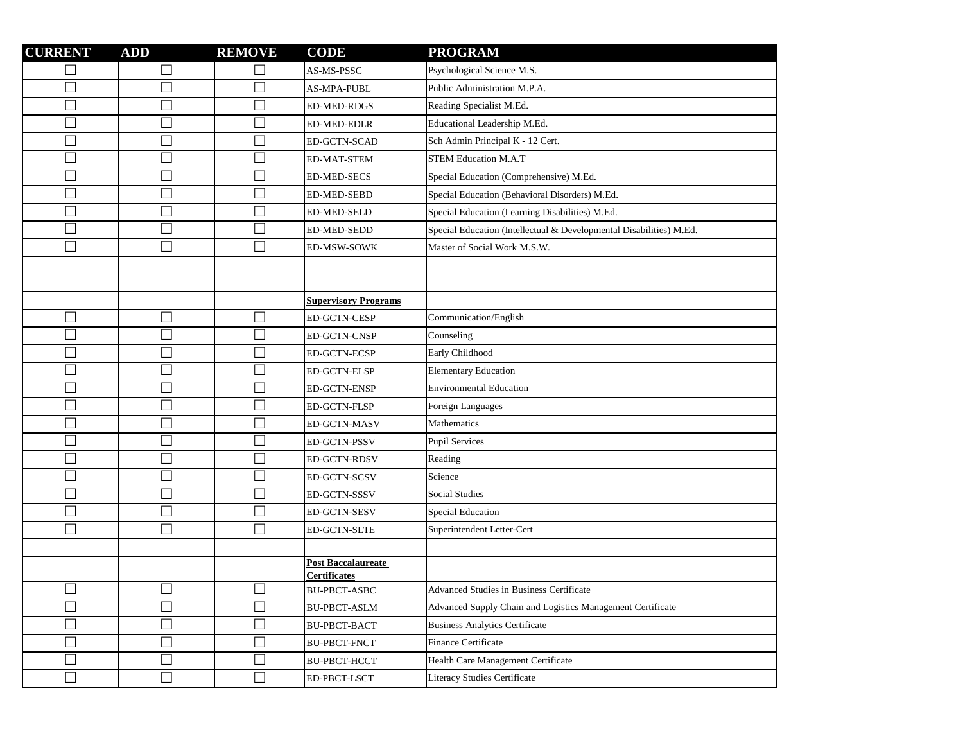| <b>CURRENT</b>           | <b>ADD</b>               | <b>REMOVE</b> | <b>CODE</b>                        | <b>PROGRAM</b>                                                      |
|--------------------------|--------------------------|---------------|------------------------------------|---------------------------------------------------------------------|
| $\Box$                   | $\Box$                   |               | AS-MS-PSSC                         | Psychological Science M.S.                                          |
| П                        | $\Box$                   |               | AS-MPA-PUBL                        | Public Administration M.P.A.                                        |
| $\Box$                   | $\Box$                   |               | <b>ED-MED-RDGS</b>                 | Reading Specialist M.Ed.                                            |
| $\Box$                   | $\overline{\phantom{a}}$ |               | ED-MED-EDLR                        | Educational Leadership M.Ed.                                        |
| $\Box$                   | $\overline{\phantom{a}}$ |               | ED-GCTN-SCAD                       | Sch Admin Principal K - 12 Cert.                                    |
| $\Box$                   | $\overline{\phantom{a}}$ |               | ED-MAT-STEM                        | <b>STEM Education M.A.T</b>                                         |
| $\Box$                   | $\Box$                   |               | <b>ED-MED-SECS</b>                 | Special Education (Comprehensive) M.Ed.                             |
| $\Box$                   | $\overline{\phantom{a}}$ |               | <b>ED-MED-SEBD</b>                 | Special Education (Behavioral Disorders) M.Ed.                      |
| $\Box$                   | $\Box$                   |               | ED-MED-SELD                        | Special Education (Learning Disabilities) M.Ed.                     |
| $\Box$                   | $\overline{\phantom{a}}$ |               | ED-MED-SEDD                        | Special Education (Intellectual & Developmental Disabilities) M.Ed. |
| П                        | $\Box$                   |               | ED-MSW-SOWK                        | Master of Social Work M.S.W.                                        |
|                          |                          |               |                                    |                                                                     |
|                          |                          |               |                                    |                                                                     |
|                          |                          |               | <b>Supervisory Programs</b>        |                                                                     |
| $\Box$                   | $\Box$                   | Ш             | ED-GCTN-CESP                       | Communication/English                                               |
| $\Box$                   | $\overline{\phantom{a}}$ |               | <b>ED-GCTN-CNSP</b>                | Counseling                                                          |
| $\Box$                   | $\Box$                   |               | ED-GCTN-ECSP                       | Early Childhood                                                     |
| $\Box$                   | $\Box$                   |               | ED-GCTN-ELSP                       | <b>Elementary Education</b>                                         |
| $\Box$                   | $\Box$                   |               | ED-GCTN-ENSP                       | <b>Environmental Education</b>                                      |
| $\Box$                   | $\Box$                   |               | ED-GCTN-FLSP                       | Foreign Languages                                                   |
| $\Box$                   | $\Box$                   |               | ED-GCTN-MASV                       | Mathematics                                                         |
| $\Box$                   | $\Box$                   |               | ED-GCTN-PSSV                       | <b>Pupil Services</b>                                               |
| $\Box$                   | $\overline{\phantom{a}}$ |               | ED-GCTN-RDSV                       | Reading                                                             |
| $\Box$                   | $\overline{\phantom{a}}$ |               | ED-GCTN-SCSV                       | Science                                                             |
| $\Box$                   | $\Box$                   |               | ED-GCTN-SSSV                       | <b>Social Studies</b>                                               |
| $\overline{\phantom{0}}$ | $\Box$                   |               | ED-GCTN-SESV                       | <b>Special Education</b>                                            |
| $\Box$                   | $\Box$                   | П             | <b>ED-GCTN-SLTE</b>                | Superintendent Letter-Cert                                          |
|                          |                          |               |                                    |                                                                     |
|                          |                          |               | Post Baccalaureate<br>Certificates |                                                                     |
| $\Box$                   | $\Box$                   | $\Box$        | BU-PBCT-ASBC                       | Advanced Studies in Business Certificate                            |
| $\Box$                   | $\Box$                   |               | <b>BU-PBCT-ASLM</b>                | Advanced Supply Chain and Logistics Management Certificate          |
| $\Box$                   | $\Box$                   | $\Box$        | <b>BU-PBCT-BACT</b>                | <b>Business Analytics Certificate</b>                               |
| $\Box$                   | $\Box$                   | $\Box$        | <b>BU-PBCT-FNCT</b>                | Finance Certificate                                                 |
| $\Box$                   | $\Box$                   | $\Box$        | <b>BU-PBCT-HCCT</b>                | Health Care Management Certificate                                  |
| $\Box$                   | $\Box$                   | $\Box$        | ED-PBCT-LSCT                       | Literacy Studies Certificate                                        |